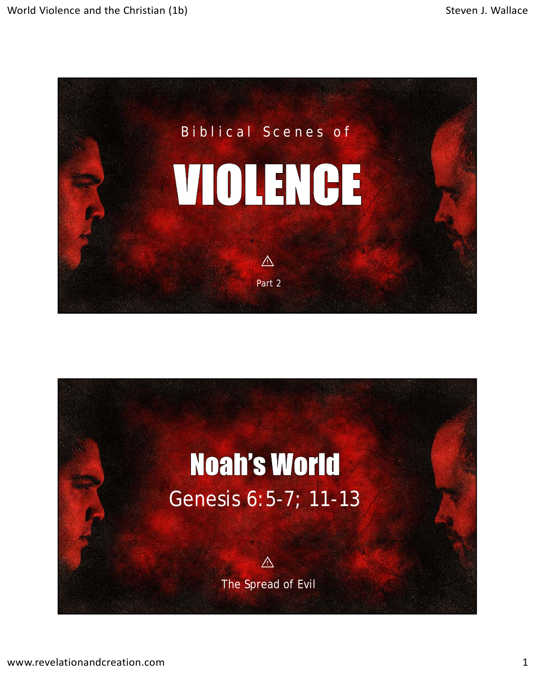

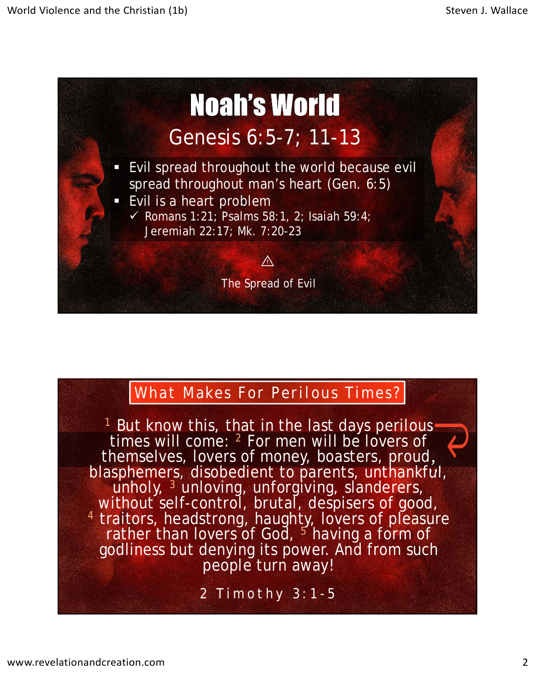

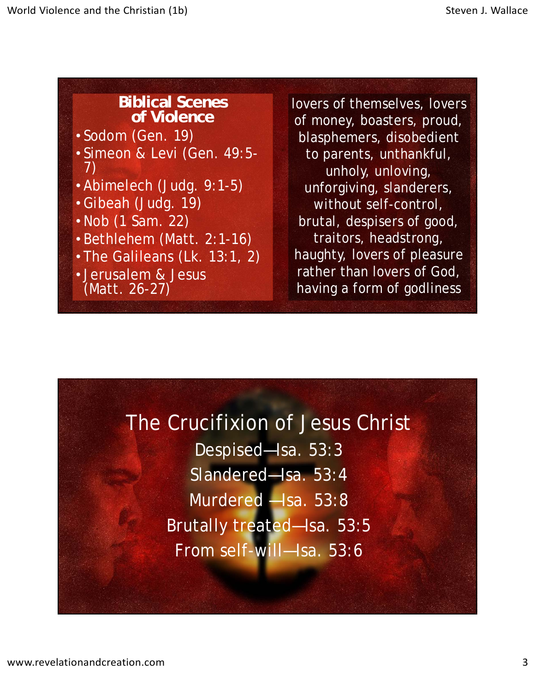## **Biblical Scenes of Violence**

- Sodom (Gen. 19)
- Simeon & Levi (Gen. 49:5- 7)
- Abimelech (Judg. 9:1-5)
- Gibeah (Judg. 19)
- Nob (1 Sam. 22)
- Bethlehem (Matt. 2:1-16)
- The Galileans (Lk. 13:1, 2)
- Jerusalem & Jesus (Matt. 26-27)

lovers of themselves, lovers of money, boasters, proud, blasphemers, disobedient to parents, unthankful, unholy, unloving, unforgiving, slanderers, without self-control, brutal, despisers of good, traitors, headstrong, haughty, lovers of pleasure rather than lovers of God, having a form of godliness

## The Crucifixion of Jesus Christ

Despised—Isa. 53:3 Slandered—Isa. 53:4 Murdered —Isa. 53:8 Brutally treated—Isa. 53:5 From self-will—Isa. 53:6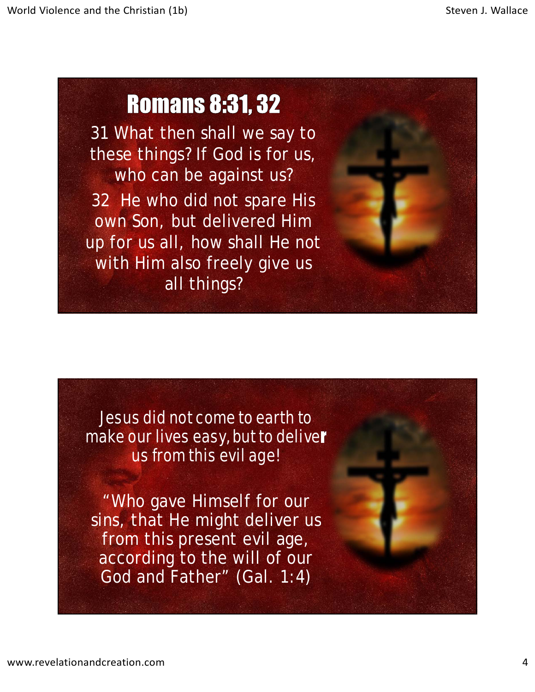## **Romans 8:31, 32**

31 What then shall we say to these things? If God is for us, who can be against us? 32 He who did not spare His own Son, but delivered Him up for us all, how shall He not with Him also freely give us all things?



Jesus did not come to earth to make our lives easy, but to deliver us from this evil age!

"Who gave Himself for our sins, that He might deliver us from this present evil age, according to the will of our God and Father" (Gal. 1:4)